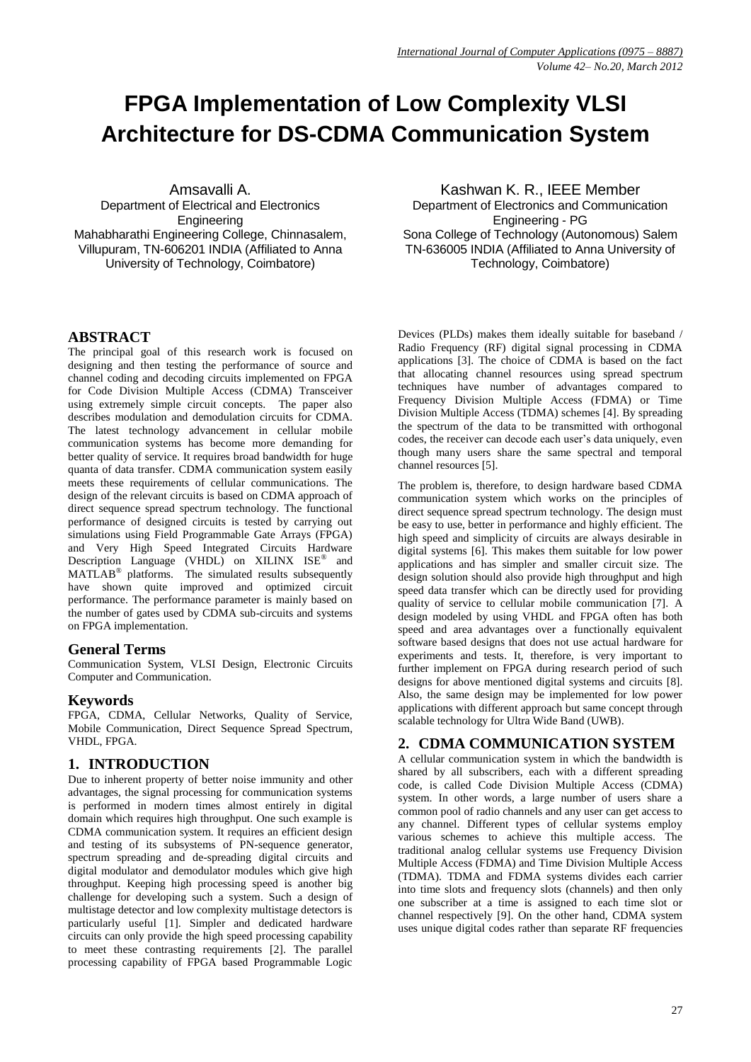# **FPGA Implementation of Low Complexity VLSI Architecture for DS-CDMA Communication System**

Amsavalli A. Department of Electrical and Electronics **Engineering** Mahabharathi Engineering College, Chinnasalem, Villupuram, TN-606201 INDIA (Affiliated to Anna University of Technology, Coimbatore)

#### **ABSTRACT**

The principal goal of this research work is focused on designing and then testing the performance of source and channel coding and decoding circuits implemented on FPGA for Code Division Multiple Access (CDMA) Transceiver using extremely simple circuit concepts. The paper also describes modulation and demodulation circuits for CDMA. The latest technology advancement in cellular mobile communication systems has become more demanding for better quality of service. It requires broad bandwidth for huge quanta of data transfer. CDMA communication system easily meets these requirements of cellular communications. The design of the relevant circuits is based on CDMA approach of direct sequence spread spectrum technology. The functional performance of designed circuits is tested by carrying out simulations using Field Programmable Gate Arrays (FPGA) and Very High Speed Integrated Circuits Hardware Description Language (VHDL) on XILINX ISE<sup>®</sup> and MATLAB<sup>®</sup> platforms. The simulated results subsequently have shown quite improved and optimized circuit performance. The performance parameter is mainly based on the number of gates used by CDMA sub-circuits and systems on FPGA implementation.

#### **General Terms**

Communication System, VLSI Design, Electronic Circuits Computer and Communication.

# **Keywords**

FPGA, CDMA, Cellular Networks, Quality of Service, Mobile Communication, Direct Sequence Spread Spectrum, VHDL, FPGA.

# **1. INTRODUCTION**

Due to inherent property of better noise immunity and other advantages, the signal processing for communication systems is performed in modern times almost entirely in digital domain which requires high throughput. One such example is CDMA communication system. It requires an efficient design and testing of its subsystems of PN-sequence generator, spectrum spreading and de-spreading digital circuits and digital modulator and demodulator modules which give high throughput. Keeping high processing speed is another big challenge for developing such a system. Such a design of multistage detector and low complexity multistage detectors is particularly useful [1]. Simpler and dedicated hardware circuits can only provide the high speed processing capability to meet these contrasting requirements [2]. The parallel processing capability of FPGA based Programmable Logic

Kashwan K. R., IEEE Member Department of Electronics and Communication Engineering - PG Sona College of Technology (Autonomous) Salem TN-636005 INDIA (Affiliated to Anna University of Technology, Coimbatore)

Devices (PLDs) makes them ideally suitable for baseband / Radio Frequency (RF) digital signal processing in CDMA applications [3]. The choice of CDMA is based on the fact that allocating channel resources using spread spectrum techniques have number of advantages compared to Frequency Division Multiple Access (FDMA) or Time Division Multiple Access (TDMA) schemes [4]. By spreading the spectrum of the data to be transmitted with orthogonal codes, the receiver can decode each user"s data uniquely, even though many users share the same spectral and temporal channel resources [5].

The problem is, therefore, to design hardware based CDMA communication system which works on the principles of direct sequence spread spectrum technology. The design must be easy to use, better in performance and highly efficient. The high speed and simplicity of circuits are always desirable in digital systems [6]. This makes them suitable for low power applications and has simpler and smaller circuit size. The design solution should also provide high throughput and high speed data transfer which can be directly used for providing quality of service to cellular mobile communication [7]. A design modeled by using VHDL and FPGA often has both speed and area advantages over a functionally equivalent software based designs that does not use actual hardware for experiments and tests. It, therefore, is very important to further implement on FPGA during research period of such designs for above mentioned digital systems and circuits [8]. Also, the same design may be implemented for low power applications with different approach but same concept through scalable technology for Ultra Wide Band (UWB).

# **2. CDMA COMMUNICATION SYSTEM**

A cellular communication system in which the bandwidth is shared by all subscribers, each with a different spreading code, is called Code Division Multiple Access (CDMA) system. In other words, a large number of users share a common pool of radio channels and any user can get access to any channel. Different types of cellular systems employ various schemes to achieve this multiple access. The traditional analog cellular systems use Frequency Division Multiple Access (FDMA) and Time Division Multiple Access (TDMA). TDMA and FDMA systems divides each carrier into time slots and frequency slots (channels) and then only one subscriber at a time is assigned to each time slot or channel respectively [9]. On the other hand, CDMA system uses unique digital codes rather than separate RF frequencies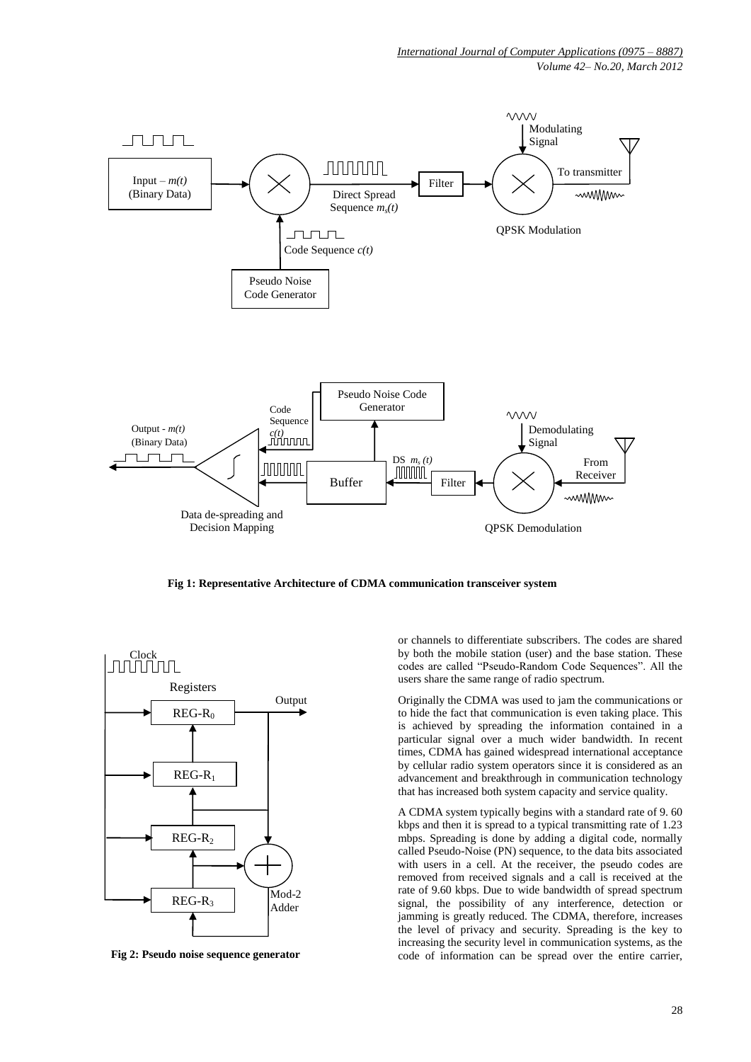

**Fig 1: Representative Architecture of CDMA communication transceiver system**



**Fig 2: Pseudo noise sequence generator**

or channels to differentiate subscribers. The codes are shared by both the mobile station (user) and the base station. These codes are called "Pseudo-Random Code Sequences". All the users share the same range of radio spectrum.

Originally the CDMA was used to jam the communications or to hide the fact that communication is even taking place. This is achieved by spreading the information contained in a particular signal over a much wider bandwidth. In recent times, CDMA has gained widespread international acceptance by cellular radio system operators since it is considered as an advancement and breakthrough in communication technology that has increased both system capacity and service quality.

A CDMA system typically begins with a standard rate of 9. 60 kbps and then it is spread to a typical transmitting rate of 1.23 mbps. Spreading is done by adding a digital code, normally called Pseudo-Noise (PN) sequence, to the data bits associated with users in a cell. At the receiver, the pseudo codes are removed from received signals and a call is received at the rate of 9.60 kbps. Due to wide bandwidth of spread spectrum signal, the possibility of any interference, detection or jamming is greatly reduced. The CDMA, therefore, increases the level of privacy and security. Spreading is the key to increasing the security level in communication systems, as the code of information can be spread over the entire carrier,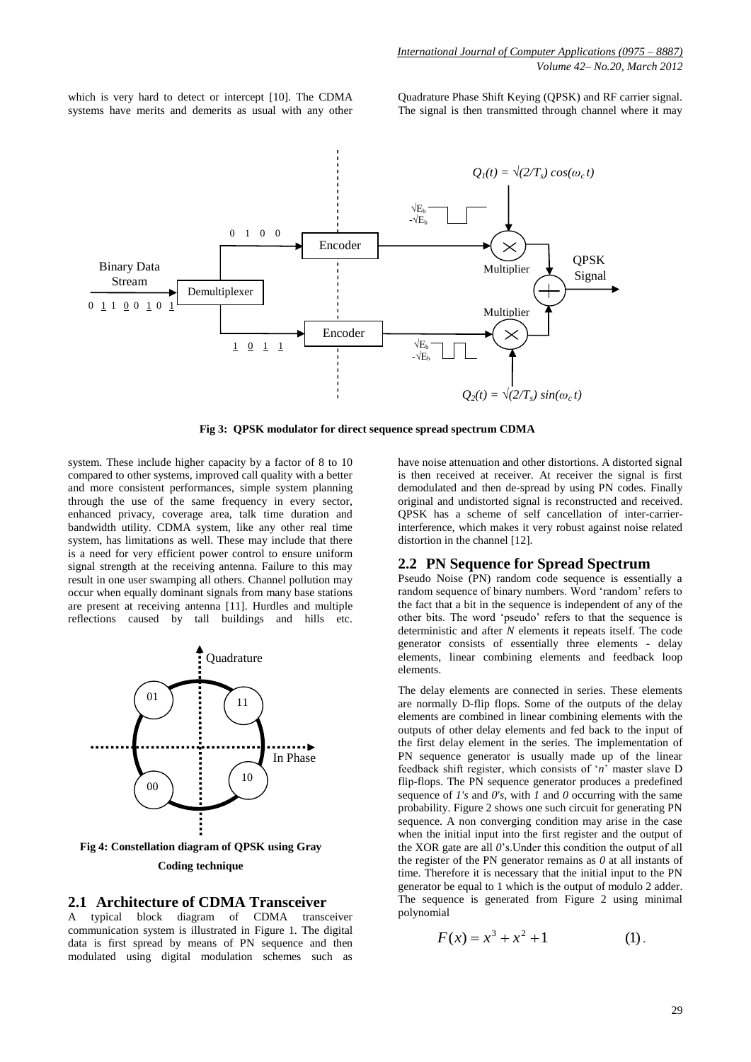which is very hard to detect or intercept [10]. The CDMA systems have merits and demerits as usual with any other Quadrature Phase Shift Keying (QPSK) and RF carrier signal. The signal is then transmitted through channel where it may



**Fig 3: QPSK modulator for direct sequence spread spectrum CDMA**

system. These include higher capacity by a factor of 8 to 10 compared to other systems, improved call quality with a better and more consistent performances, simple system planning through the use of the same frequency in every sector, enhanced privacy, coverage area, talk time duration and bandwidth utility. CDMA system, like any other real time system, has limitations as well. These may include that there is a need for very efficient power control to ensure uniform signal strength at the receiving antenna. Failure to this may result in one user swamping all others. Channel pollution may occur when equally dominant signals from many base stations are present at receiving antenna [11]. Hurdles and multiple reflections caused by tall buildings and hills etc.



**Coding technique**

#### **2.1 Architecture of CDMA Transceiver**

A typical block diagram of CDMA transceiver communication system is illustrated in Figure 1. The digital data is first spread by means of PN sequence and then modulated using digital modulation schemes such as

have noise attenuation and other distortions. A distorted signal is then received at receiver. At receiver the signal is first demodulated and then de-spread by using PN codes. Finally original and undistorted signal is reconstructed and received. QPSK has a scheme of self cancellation of inter-carrierinterference, which makes it very robust against noise related distortion in the channel [12].

#### **2.2 PN Sequence for Spread Spectrum**

Pseudo Noise (PN) random code sequence is essentially a random sequence of binary numbers. Word 'random' refers to the fact that a bit in the sequence is independent of any of the other bits. The word "pseudo" refers to that the sequence is deterministic and after *N* elements it repeats itself. The code generator consists of essentially three elements - delay elements, linear combining elements and feedback loop elements.

The delay elements are connected in series. These elements are normally D-flip flops. Some of the outputs of the delay elements are combined in linear combining elements with the outputs of other delay elements and fed back to the input of the first delay element in the series. The implementation of PN sequence generator is usually made up of the linear feedback shift register, which consists of "*n*" master slave D flip-flops. The PN sequence generator produces a predefined sequence of *1's* and *0's*, with *1* and *0* occurring with the same probability. Figure 2 shows one such circuit for generating PN sequence. A non converging condition may arise in the case when the initial input into the first register and the output of the XOR gate are all *0*"s.Under this condition the output of all the register of the PN generator remains as *0* at all instants of time. Therefore it is necessary that the initial input to the PN generator be equal to 1 which is the output of modulo 2 adder. The sequence is generated from Figure 2 using minimal polynomial

$$
F(x) = x^3 + x^2 + 1 \tag{1}
$$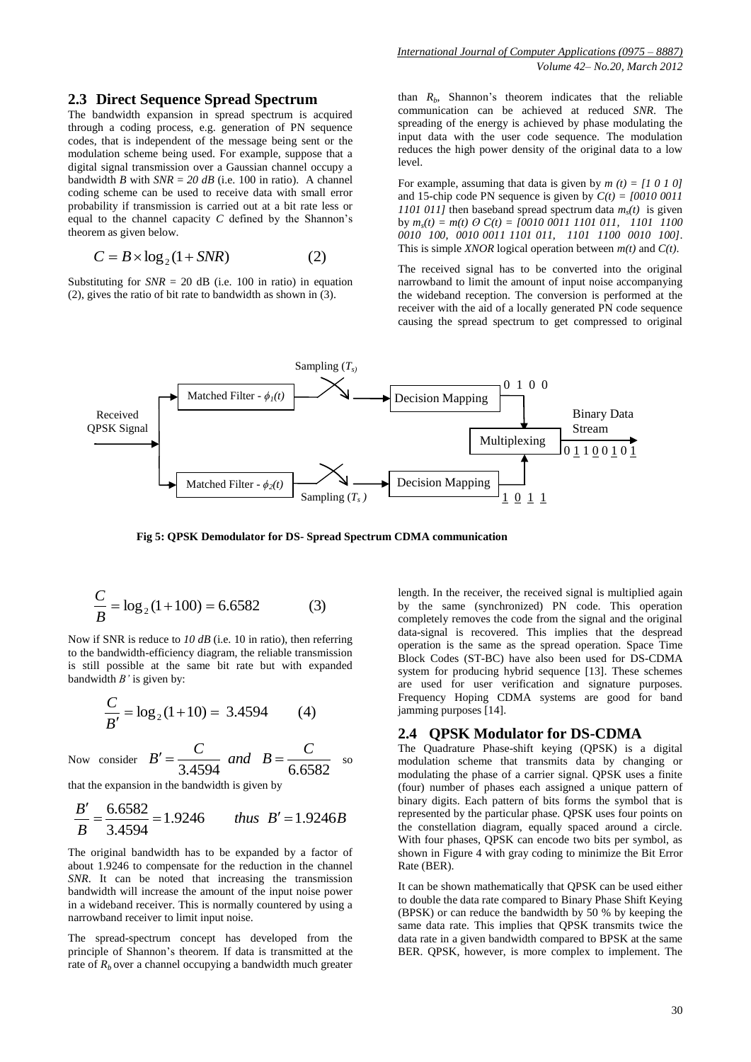#### **2.3 Direct Sequence Spread Spectrum**

The bandwidth expansion in spread spectrum is acquired through a coding process, e.g. generation of PN sequence codes, that is independent of the message being sent or the modulation scheme being used. For example, suppose that a digital signal transmission over a Gaussian channel occupy a bandwidth *B* with  $SNR = 20$  *dB* (i.e. 100 in ratio). A channel coding scheme can be used to receive data with small error probability if transmission is carried out at a bit rate less or equal to the channel capacity *C* defined by the Shannon"s theorem as given below.

$$
C = B \times \log_2(1 + SNR)
$$
 (2)

Substituting for  $SNR = 20$  dB (i.e. 100 in ratio) in equation (2), gives the ratio of bit rate to bandwidth as shown in (3).

than  $R_b$ , Shannon's theorem indicates that the reliable communication can be achieved at reduced *SNR*. The spreading of the energy is achieved by phase modulating the input data with the user code sequence. The modulation reduces the high power density of the original data to a low level.

For example, assuming that data is given by  $m(t) = [1 \ 0 \ 1 \ 0]$ and 15-chip code PN sequence is given by  $C(t) = [0010\ 0011]$ *1101 011]* then baseband spread spectrum data  $m_s(t)$  is given by  $m_s(t) = m(t)$  *O*  $C(t) = [0010\ 0011\ 1101\ 011$ , 1101 1100 *0010 100, 0010 0011 1101 011, 1101 1100 0010 100]*. This is simple *XNOR* logical operation between *m(t)* and *C(t)*.

The received signal has to be converted into the original narrowband to limit the amount of input noise accompanying the wideband reception. The conversion is performed at the receiver with the aid of a locally generated PN code sequence causing the spread spectrum to get compressed to original



**Fig 5: QPSK Demodulator for DS- Spread Spectrum CDMA communication**

$$
\frac{C}{B} = \log_2(1 + 100) = 6.6582\tag{3}
$$

Now if SNR is reduce to *10 dB* (i.e. 10 in ratio), then referring to the bandwidth-efficiency diagram, the reliable transmission is still possible at the same bit rate but with expanded bandwidth *B'* is given by:

$$
\frac{C}{B'} = \log_2(1+10) = 3.4594\tag{4}
$$

Now consider  $B' = \frac{1}{3.4594}$  and  $B = \frac{1}{6.6582}$  $B' = \frac{C}{2 \pm 5.64}$  and  $B = \frac{C}{2 \pm 5.64}$  so

that the expansion in the bandwidth is given by

$$
\frac{B'}{B} = \frac{6.6582}{3.4594} = 1.9246
$$
 thus  $B' = 1.9246B$ 

The original bandwidth has to be expanded by a factor of about 1.9246 to compensate for the reduction in the channel *SNR*. It can be noted that increasing the transmission bandwidth will increase the amount of the input noise power in a wideband receiver. This is normally countered by using a narrowband receiver to limit input noise.

The spread-spectrum concept has developed from the principle of Shannon"s theorem. If data is transmitted at the rate of  $R_b$  over a channel occupying a bandwidth much greater

length. In the receiver, the received signal is multiplied again by the same (synchronized) PN code. This operation completely removes the code from the signal and the original data-signal is recovered. This implies that the despread operation is the same as the spread operation. Space Time Block Codes (ST-BC) have also been used for DS-CDMA system for producing hybrid sequence [13]. These schemes are used for user verification and signature purposes. Frequency Hoping CDMA systems are good for band jamming purposes [14].

#### **2.4 QPSK Modulator for DS-CDMA**

The Quadrature Phase-shift keying (QPSK) is a digital modulation scheme that transmits data by changing or modulating the phase of a carrier signal. QPSK uses a finite (four) number of phases each assigned a unique pattern of binary digits. Each pattern of bits forms the symbol that is represented by the particular phase. QPSK uses four points on the constellation diagram, equally spaced around a circle. With four phases, QPSK can encode two bits per symbol, as shown in Figure 4 with gray coding to minimize the Bit Error Rate (BER).

It can be shown mathematically that QPSK can be used either to double the data rate compared to Binary Phase Shift Keying (BPSK) or can reduce the bandwidth by 50 % by keeping the same data rate. This implies that QPSK transmits twice the data rate in a given bandwidth compared to BPSK at the same BER. QPSK, however, is more complex to implement. The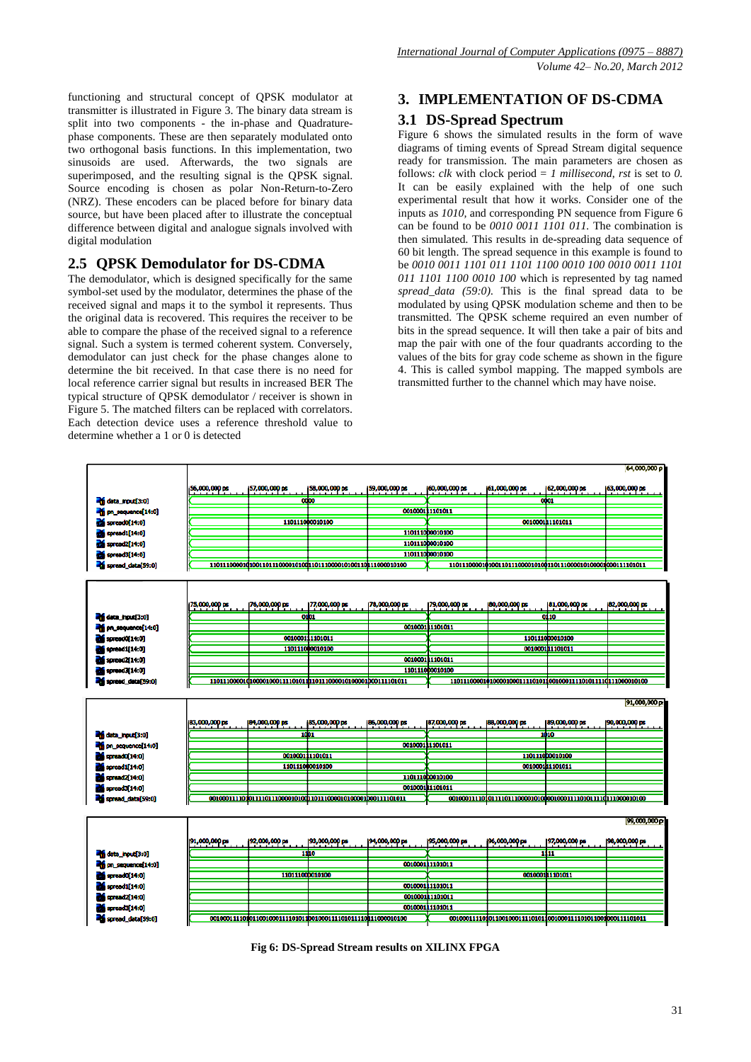functioning and structural concept of QPSK modulator at transmitter is illustrated in Figure 3. The binary data stream is split into two components - the in-phase and Quadraturephase components. These are then separately modulated onto two orthogonal basis functions. In this implementation, two sinusoids are used. Afterwards, the two signals are superimposed, and the resulting signal is the QPSK signal. Source encoding is chosen as polar Non-Return-to-Zero (NRZ). These encoders can be placed before for binary data source, but have been placed after to illustrate the conceptual difference between digital and analogue signals involved with digital modulation

# **2.5 QPSK Demodulator for DS-CDMA**

The demodulator, which is designed specifically for the same symbol-set used by the modulator, determines the phase of the received signal and maps it to the symbol it represents. Thus the original data is recovered. This requires the receiver to be able to compare the phase of the received signal to a reference signal. Such a system is termed coherent system. Conversely, demodulator can just check for the phase changes alone to determine the bit received. In that case there is no need for local reference carrier signal but results in increased BER The typical structure of QPSK demodulator / receiver is shown in Figure 5. The matched filters can be replaced with correlators. Each detection device uses a reference threshold value to determine whether a 1 or 0 is detected

# **3. IMPLEMENTATION OF DS-CDMA**

# **3.1 DS-Spread Spectrum**

Figure 6 shows the simulated results in the form of wave diagrams of timing events of Spread Stream digital sequence ready for transmission. The main parameters are chosen as follows: *clk* with clock period = *1 millisecond*, *rst* is set to 0. It can be easily explained with the help of one such experimental result that how it works. Consider one of the inputs as *1010,* and corresponding PN sequence from Figure 6 can be found to be *0010 0011 1101 011.* The combination is then simulated*.* This results in de-spreading data sequence of 60 bit length. The spread sequence in this example is found to be *0010 0011 1101 011 1101 1100 0010 100 0010 0011 1101 011 1101 1100 0010 100* which is represented by tag named *spread\_data (59:0).* This is the final spread data to be modulated by using QPSK modulation scheme and then to be transmitted. The QPSK scheme required an even number of bits in the spread sequence. It will then take a pair of bits and map the pair with one of the four quadrants according to the values of the bits for gray code scheme as shown in the figure 4. This is called symbol mapping. The mapped symbols are transmitted further to the channel which may have noise.

| 57,000,000 ps<br>58,000,000 ps<br> 59,000,000 ps<br>60,000,000 ps<br>61,000,000 ps<br>62,000,000 ps<br>56,000,000 ps<br>otpo<br>0001<br>data_input[3:0]<br>001000111101011<br>m sequence [14:0]<br>110111000010100<br>001000111101011<br>$\frac{1}{200}$ spread $[14:0]$<br>110111000010100<br>spread1[14:0]<br>110111000010100<br>spread2[14:0]<br>110111000010100<br>spread3[14:0]<br>œ<br>spread_data[59:0]<br>177,000,000 ps<br>179,000,000 ps<br>81,000,000 ps<br>75,000,000 ps<br>176,000,000 ps<br>178,000,000 ps<br>180,000,000 ps<br>01D1<br>0110<br>data_input[3:0]<br>001000111101011<br>m pn_sequence[14:0]<br>001000111101011<br>110111000010100<br>spreadO[14:0]<br>spread1[14:0]<br>110111000010100<br>001000111101011<br>0010001 1101011<br>spread2(14:0)<br>110111000010100<br>spreed3[14:0]<br>spread_data[59:0]<br>91,000,000 p<br><b>88,000,000 ps</b><br>83,000,000 ps<br> 84,000,000 ps<br> 85,000,000 ps<br>196,000,000 ps<br> 87,000,000 ps<br>189,000,000 ps<br>1001<br>1010<br>data_input[3:0]<br>001000111101011<br>on_sequence[14:0]<br>001000111101011<br>110111000010100<br>spread0[14:0]<br>001000101101011<br>110111000010100<br>spread1[14:0]<br>110111000010100<br>spread2[14:0]<br>0010001 1101011<br>spreado [14:0]<br>spread_data[59:0]<br> 92,000,000 ps<br>193,000,000 ps<br>194,000,000 ps<br>195,000,000 ps<br><b>96,000,000 ps</b><br> 97,000,000 ps<br>91,000,000 ps<br>1300<br>1111<br>001000111101011<br>110111000010100<br>0010001 1101011<br>001000111101011<br>$expt (14:0)$<br>0010001 1101011<br>$\mathbf{g}$ spread $[14:0]$<br>001000111101011<br>$\mathbf{m}$ spread $[14:0]$ |  |  |  |  |                                |
|------------------------------------------------------------------------------------------------------------------------------------------------------------------------------------------------------------------------------------------------------------------------------------------------------------------------------------------------------------------------------------------------------------------------------------------------------------------------------------------------------------------------------------------------------------------------------------------------------------------------------------------------------------------------------------------------------------------------------------------------------------------------------------------------------------------------------------------------------------------------------------------------------------------------------------------------------------------------------------------------------------------------------------------------------------------------------------------------------------------------------------------------------------------------------------------------------------------------------------------------------------------------------------------------------------------------------------------------------------------------------------------------------------------------------------------------------------------------------------------------------------------------------------------------------------------------------------------------------------------------------------|--|--|--|--|--------------------------------|
|                                                                                                                                                                                                                                                                                                                                                                                                                                                                                                                                                                                                                                                                                                                                                                                                                                                                                                                                                                                                                                                                                                                                                                                                                                                                                                                                                                                                                                                                                                                                                                                                                                    |  |  |  |  | 63,000,000 ps                  |
|                                                                                                                                                                                                                                                                                                                                                                                                                                                                                                                                                                                                                                                                                                                                                                                                                                                                                                                                                                                                                                                                                                                                                                                                                                                                                                                                                                                                                                                                                                                                                                                                                                    |  |  |  |  |                                |
|                                                                                                                                                                                                                                                                                                                                                                                                                                                                                                                                                                                                                                                                                                                                                                                                                                                                                                                                                                                                                                                                                                                                                                                                                                                                                                                                                                                                                                                                                                                                                                                                                                    |  |  |  |  |                                |
|                                                                                                                                                                                                                                                                                                                                                                                                                                                                                                                                                                                                                                                                                                                                                                                                                                                                                                                                                                                                                                                                                                                                                                                                                                                                                                                                                                                                                                                                                                                                                                                                                                    |  |  |  |  |                                |
|                                                                                                                                                                                                                                                                                                                                                                                                                                                                                                                                                                                                                                                                                                                                                                                                                                                                                                                                                                                                                                                                                                                                                                                                                                                                                                                                                                                                                                                                                                                                                                                                                                    |  |  |  |  |                                |
|                                                                                                                                                                                                                                                                                                                                                                                                                                                                                                                                                                                                                                                                                                                                                                                                                                                                                                                                                                                                                                                                                                                                                                                                                                                                                                                                                                                                                                                                                                                                                                                                                                    |  |  |  |  |                                |
|                                                                                                                                                                                                                                                                                                                                                                                                                                                                                                                                                                                                                                                                                                                                                                                                                                                                                                                                                                                                                                                                                                                                                                                                                                                                                                                                                                                                                                                                                                                                                                                                                                    |  |  |  |  |                                |
|                                                                                                                                                                                                                                                                                                                                                                                                                                                                                                                                                                                                                                                                                                                                                                                                                                                                                                                                                                                                                                                                                                                                                                                                                                                                                                                                                                                                                                                                                                                                                                                                                                    |  |  |  |  |                                |
|                                                                                                                                                                                                                                                                                                                                                                                                                                                                                                                                                                                                                                                                                                                                                                                                                                                                                                                                                                                                                                                                                                                                                                                                                                                                                                                                                                                                                                                                                                                                                                                                                                    |  |  |  |  |                                |
|                                                                                                                                                                                                                                                                                                                                                                                                                                                                                                                                                                                                                                                                                                                                                                                                                                                                                                                                                                                                                                                                                                                                                                                                                                                                                                                                                                                                                                                                                                                                                                                                                                    |  |  |  |  |                                |
|                                                                                                                                                                                                                                                                                                                                                                                                                                                                                                                                                                                                                                                                                                                                                                                                                                                                                                                                                                                                                                                                                                                                                                                                                                                                                                                                                                                                                                                                                                                                                                                                                                    |  |  |  |  |                                |
|                                                                                                                                                                                                                                                                                                                                                                                                                                                                                                                                                                                                                                                                                                                                                                                                                                                                                                                                                                                                                                                                                                                                                                                                                                                                                                                                                                                                                                                                                                                                                                                                                                    |  |  |  |  | 182,000,000 ps                 |
|                                                                                                                                                                                                                                                                                                                                                                                                                                                                                                                                                                                                                                                                                                                                                                                                                                                                                                                                                                                                                                                                                                                                                                                                                                                                                                                                                                                                                                                                                                                                                                                                                                    |  |  |  |  |                                |
|                                                                                                                                                                                                                                                                                                                                                                                                                                                                                                                                                                                                                                                                                                                                                                                                                                                                                                                                                                                                                                                                                                                                                                                                                                                                                                                                                                                                                                                                                                                                                                                                                                    |  |  |  |  |                                |
|                                                                                                                                                                                                                                                                                                                                                                                                                                                                                                                                                                                                                                                                                                                                                                                                                                                                                                                                                                                                                                                                                                                                                                                                                                                                                                                                                                                                                                                                                                                                                                                                                                    |  |  |  |  |                                |
|                                                                                                                                                                                                                                                                                                                                                                                                                                                                                                                                                                                                                                                                                                                                                                                                                                                                                                                                                                                                                                                                                                                                                                                                                                                                                                                                                                                                                                                                                                                                                                                                                                    |  |  |  |  |                                |
|                                                                                                                                                                                                                                                                                                                                                                                                                                                                                                                                                                                                                                                                                                                                                                                                                                                                                                                                                                                                                                                                                                                                                                                                                                                                                                                                                                                                                                                                                                                                                                                                                                    |  |  |  |  |                                |
|                                                                                                                                                                                                                                                                                                                                                                                                                                                                                                                                                                                                                                                                                                                                                                                                                                                                                                                                                                                                                                                                                                                                                                                                                                                                                                                                                                                                                                                                                                                                                                                                                                    |  |  |  |  |                                |
|                                                                                                                                                                                                                                                                                                                                                                                                                                                                                                                                                                                                                                                                                                                                                                                                                                                                                                                                                                                                                                                                                                                                                                                                                                                                                                                                                                                                                                                                                                                                                                                                                                    |  |  |  |  |                                |
|                                                                                                                                                                                                                                                                                                                                                                                                                                                                                                                                                                                                                                                                                                                                                                                                                                                                                                                                                                                                                                                                                                                                                                                                                                                                                                                                                                                                                                                                                                                                                                                                                                    |  |  |  |  |                                |
|                                                                                                                                                                                                                                                                                                                                                                                                                                                                                                                                                                                                                                                                                                                                                                                                                                                                                                                                                                                                                                                                                                                                                                                                                                                                                                                                                                                                                                                                                                                                                                                                                                    |  |  |  |  | 90,000,000 ps                  |
|                                                                                                                                                                                                                                                                                                                                                                                                                                                                                                                                                                                                                                                                                                                                                                                                                                                                                                                                                                                                                                                                                                                                                                                                                                                                                                                                                                                                                                                                                                                                                                                                                                    |  |  |  |  |                                |
|                                                                                                                                                                                                                                                                                                                                                                                                                                                                                                                                                                                                                                                                                                                                                                                                                                                                                                                                                                                                                                                                                                                                                                                                                                                                                                                                                                                                                                                                                                                                                                                                                                    |  |  |  |  |                                |
|                                                                                                                                                                                                                                                                                                                                                                                                                                                                                                                                                                                                                                                                                                                                                                                                                                                                                                                                                                                                                                                                                                                                                                                                                                                                                                                                                                                                                                                                                                                                                                                                                                    |  |  |  |  |                                |
|                                                                                                                                                                                                                                                                                                                                                                                                                                                                                                                                                                                                                                                                                                                                                                                                                                                                                                                                                                                                                                                                                                                                                                                                                                                                                                                                                                                                                                                                                                                                                                                                                                    |  |  |  |  |                                |
|                                                                                                                                                                                                                                                                                                                                                                                                                                                                                                                                                                                                                                                                                                                                                                                                                                                                                                                                                                                                                                                                                                                                                                                                                                                                                                                                                                                                                                                                                                                                                                                                                                    |  |  |  |  |                                |
|                                                                                                                                                                                                                                                                                                                                                                                                                                                                                                                                                                                                                                                                                                                                                                                                                                                                                                                                                                                                                                                                                                                                                                                                                                                                                                                                                                                                                                                                                                                                                                                                                                    |  |  |  |  |                                |
|                                                                                                                                                                                                                                                                                                                                                                                                                                                                                                                                                                                                                                                                                                                                                                                                                                                                                                                                                                                                                                                                                                                                                                                                                                                                                                                                                                                                                                                                                                                                                                                                                                    |  |  |  |  |                                |
| cota_input[3:0]<br>pn_sequence[14:0]<br>spread0[14:0]                                                                                                                                                                                                                                                                                                                                                                                                                                                                                                                                                                                                                                                                                                                                                                                                                                                                                                                                                                                                                                                                                                                                                                                                                                                                                                                                                                                                                                                                                                                                                                              |  |  |  |  |                                |
|                                                                                                                                                                                                                                                                                                                                                                                                                                                                                                                                                                                                                                                                                                                                                                                                                                                                                                                                                                                                                                                                                                                                                                                                                                                                                                                                                                                                                                                                                                                                                                                                                                    |  |  |  |  |                                |
|                                                                                                                                                                                                                                                                                                                                                                                                                                                                                                                                                                                                                                                                                                                                                                                                                                                                                                                                                                                                                                                                                                                                                                                                                                                                                                                                                                                                                                                                                                                                                                                                                                    |  |  |  |  |                                |
|                                                                                                                                                                                                                                                                                                                                                                                                                                                                                                                                                                                                                                                                                                                                                                                                                                                                                                                                                                                                                                                                                                                                                                                                                                                                                                                                                                                                                                                                                                                                                                                                                                    |  |  |  |  |                                |
|                                                                                                                                                                                                                                                                                                                                                                                                                                                                                                                                                                                                                                                                                                                                                                                                                                                                                                                                                                                                                                                                                                                                                                                                                                                                                                                                                                                                                                                                                                                                                                                                                                    |  |  |  |  |                                |
|                                                                                                                                                                                                                                                                                                                                                                                                                                                                                                                                                                                                                                                                                                                                                                                                                                                                                                                                                                                                                                                                                                                                                                                                                                                                                                                                                                                                                                                                                                                                                                                                                                    |  |  |  |  | 99,000,000 p<br>198,000,000 ps |
|                                                                                                                                                                                                                                                                                                                                                                                                                                                                                                                                                                                                                                                                                                                                                                                                                                                                                                                                                                                                                                                                                                                                                                                                                                                                                                                                                                                                                                                                                                                                                                                                                                    |  |  |  |  |                                |
|                                                                                                                                                                                                                                                                                                                                                                                                                                                                                                                                                                                                                                                                                                                                                                                                                                                                                                                                                                                                                                                                                                                                                                                                                                                                                                                                                                                                                                                                                                                                                                                                                                    |  |  |  |  |                                |
|                                                                                                                                                                                                                                                                                                                                                                                                                                                                                                                                                                                                                                                                                                                                                                                                                                                                                                                                                                                                                                                                                                                                                                                                                                                                                                                                                                                                                                                                                                                                                                                                                                    |  |  |  |  |                                |
|                                                                                                                                                                                                                                                                                                                                                                                                                                                                                                                                                                                                                                                                                                                                                                                                                                                                                                                                                                                                                                                                                                                                                                                                                                                                                                                                                                                                                                                                                                                                                                                                                                    |  |  |  |  |                                |
|                                                                                                                                                                                                                                                                                                                                                                                                                                                                                                                                                                                                                                                                                                                                                                                                                                                                                                                                                                                                                                                                                                                                                                                                                                                                                                                                                                                                                                                                                                                                                                                                                                    |  |  |  |  |                                |

**Fig 6: DS-Spread Stream results on XILINX FPGA**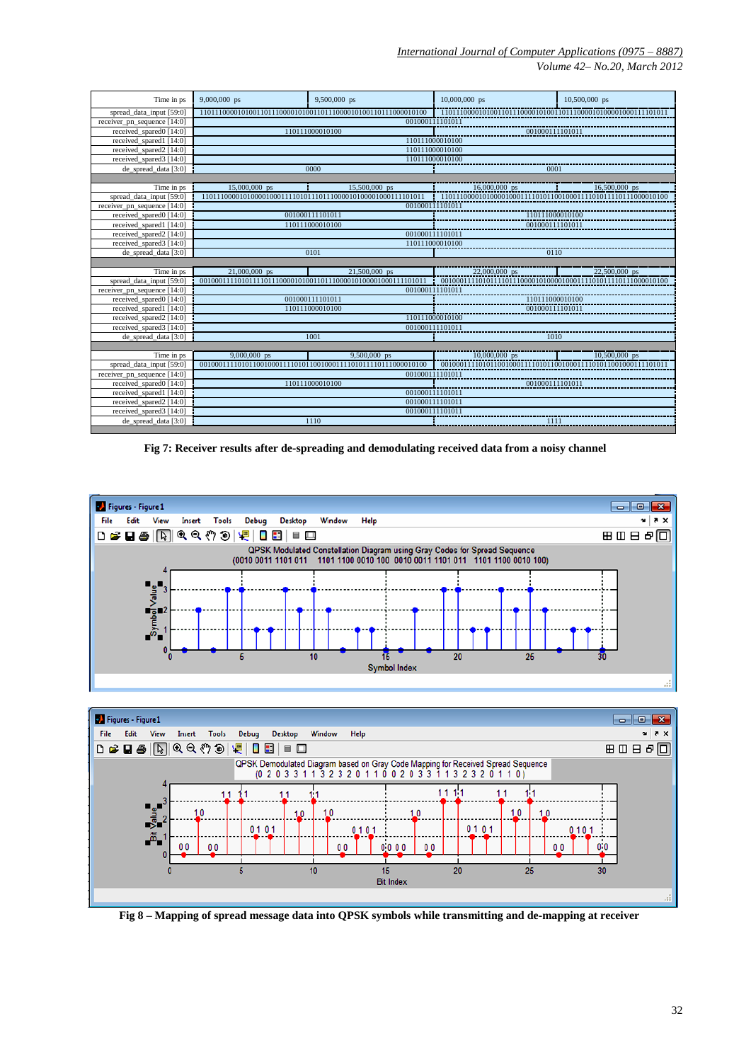*Volume 42– No.20, March 2012*

| Time in ps                  | $9,000,000$ ps                     | $9,500,000$ ps  | $10,000,000$ ps | $10,500,000$ ps |  |  |  |  |
|-----------------------------|------------------------------------|-----------------|-----------------|-----------------|--|--|--|--|
| spread data input [59:0]    |                                    |                 |                 |                 |  |  |  |  |
| receiver_pn_sequence [14:0] | 001000111101011                    |                 |                 |                 |  |  |  |  |
| received_spared0 [14:0]     |                                    | 110111000010100 | 001000111101011 |                 |  |  |  |  |
| received spared1 [14:0]     | 110111000010100                    |                 |                 |                 |  |  |  |  |
| received spared2 [14:0]     | 110111000010100                    |                 |                 |                 |  |  |  |  |
| received_spared3 [14:0]     |                                    |                 | 110111000010100 |                 |  |  |  |  |
| de spread data [3:0]        |                                    | 0000            | 0001            |                 |  |  |  |  |
|                             |                                    |                 |                 |                 |  |  |  |  |
| Time in ps                  | 15,000,000 ps                      | 15,500,000 ps   | $16,000,000$ ps | 16,500,000 ps   |  |  |  |  |
| spread data input [59:0]    |                                    |                 |                 |                 |  |  |  |  |
| receiver pn sequence [14:0] |                                    |                 | 001000111101011 |                 |  |  |  |  |
| received spared0 [14:0]     |                                    | 001000111101011 | 110111000010100 |                 |  |  |  |  |
| received spared1 [14:0]     |                                    | 110111000010100 | 001000111101011 |                 |  |  |  |  |
| received spared2 [14:0]     |                                    |                 | 001000111101011 |                 |  |  |  |  |
| received spared3 [14:0]     |                                    |                 |                 | 110111000010100 |  |  |  |  |
| de spread data [3:0]        |                                    | 0101            | 0110            |                 |  |  |  |  |
|                             |                                    |                 |                 |                 |  |  |  |  |
| Time in ps                  | 21,000,000 ps                      | 21,500,000 ps   | $22,000,000$ ps | 22,500,000 ps   |  |  |  |  |
| spread data input [59:0]    |                                    |                 |                 |                 |  |  |  |  |
| receiver pn sequence [14:0] |                                    |                 | 001000111101011 |                 |  |  |  |  |
| received spared0 [14:0]     |                                    | 001000111101011 | 110111000010100 |                 |  |  |  |  |
| received spared1 [14:0]     | 110111000010100<br>001000111101011 |                 |                 |                 |  |  |  |  |
| received spared2 [14:0]     | 110111000010100                    |                 |                 |                 |  |  |  |  |
| received spared3 [14:0]     | 001000111101011                    |                 |                 |                 |  |  |  |  |
| de spread data [3:0]        | 1010<br>1001                       |                 |                 |                 |  |  |  |  |
|                             |                                    |                 |                 |                 |  |  |  |  |
| Time in ps                  | $9,000,000$ ps                     | 9,500,000 ps    | $10,000,000$ ps | 10,500,000 ps   |  |  |  |  |
| spread data input [59:0]    |                                    |                 |                 |                 |  |  |  |  |
| receiver pn sequence [14:0] |                                    |                 | 001000111101011 |                 |  |  |  |  |
| received spared0 [14:0]     |                                    | 110111000010100 | 001000111101011 |                 |  |  |  |  |
| received spared1 [14:0]     | 001000111101011                    |                 |                 |                 |  |  |  |  |
| received_spared2 [14:0]     | 001000111101011                    |                 |                 |                 |  |  |  |  |
| received spared3 [14:0]     | 001000111101011                    |                 |                 |                 |  |  |  |  |
| de_spread_data [3:0]        |                                    | 1110            | 1111            |                 |  |  |  |  |

**Fig 7: Receiver results after de-spreading and demodulating received data from a noisy channel**





**Fig 8 – Mapping of spread message data into QPSK symbols while transmitting and de-mapping at receiver**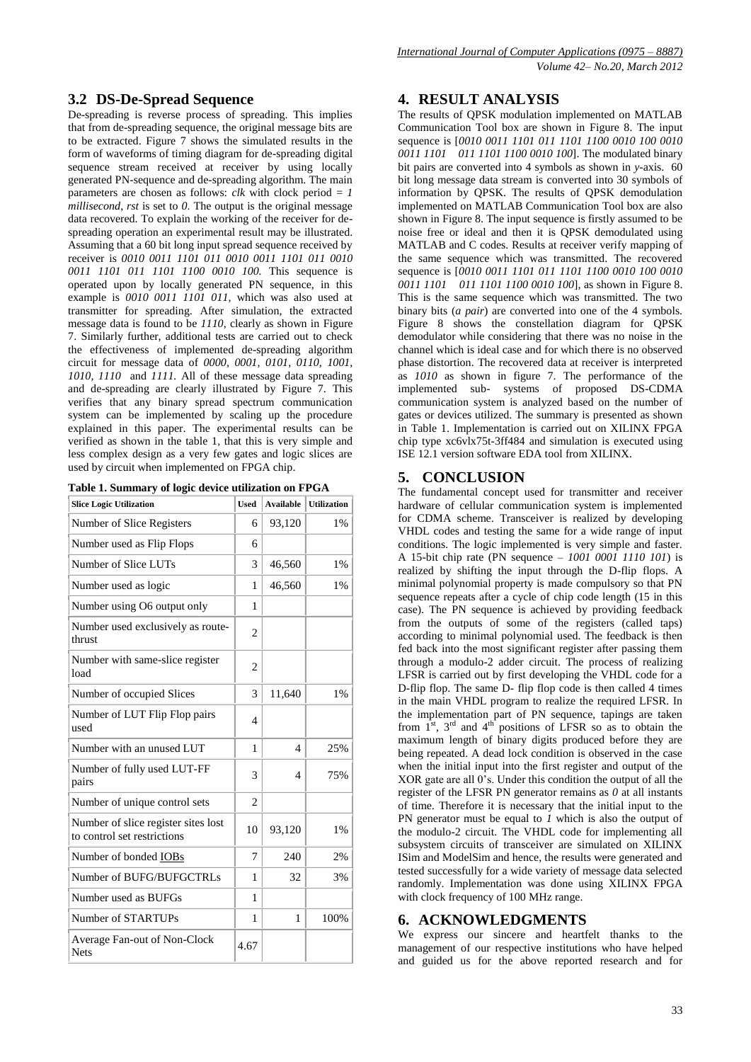# **3.2 DS-De-Spread Sequence**

De-spreading is reverse process of spreading. This implies that from de-spreading sequence, the original message bits are to be extracted. Figure 7 shows the simulated results in the form of waveforms of timing diagram for de-spreading digital sequence stream received at receiver by using locally generated PN-sequence and de-spreading algorithm. The main parameters are chosen as follows:  $clk$  with clock period  $= 1$ *millisecond*, *rst* is set to *0*. The output is the original message data recovered. To explain the working of the receiver for despreading operation an experimental result may be illustrated. Assuming that a 60 bit long input spread sequence received by receiver is *0010 0011 1101 011 0010 0011 1101 011 0010 0011 1101 011 1101 1100 0010 100.* This sequence is operated upon by locally generated PN sequence, in this example is *0010 0011 1101 011,* which was also used at transmitter for spreading. After simulation, the extracted message data is found to be *1110,* clearly as shown in Figure 7. Similarly further, additional tests are carried out to check the effectiveness of implemented de-spreading algorithm circuit for message data of *0000, 0001, 0101, 0110, 1001, 1010, 1110* and *1111.* All of these message data spreading and de-spreading are clearly illustrated by Figure 7. This verifies that any binary spread spectrum communication system can be implemented by scaling up the procedure explained in this paper. The experimental results can be verified as shown in the table 1, that this is very simple and less complex design as a very few gates and logic slices are used by circuit when implemented on FPGA chip.

**Table 1. Summary of logic device utilization on FPGA**

| <b>Slice Logic Utilization</b>                                     | <b>Used</b>    | <b>Available</b>         | <b>Utilization</b> |
|--------------------------------------------------------------------|----------------|--------------------------|--------------------|
| Number of Slice Registers                                          | 6              | 93,120                   | $1\%$              |
| Number used as Flip Flops                                          | 6              |                          |                    |
| Number of Slice LUTs                                               | 3              | 46,560                   | 1%                 |
| Number used as logic                                               | 1              | 46,560                   | 1%                 |
| Number using O6 output only                                        | 1              |                          |                    |
| Number used exclusively as route-<br>thrust                        | $\overline{c}$ |                          |                    |
| Number with same-slice register<br>load                            | 2              |                          |                    |
| Number of occupied Slices                                          | 3              | 11,640                   | $1\%$              |
| Number of LUT Flip Flop pairs<br>used                              | $\overline{4}$ |                          |                    |
| Number with an unused LUT                                          | 1              | $\overline{\mathcal{A}}$ | 25%                |
| Number of fully used LUT-FF<br>pairs                               | 3              | 4                        | 75%                |
| Number of unique control sets                                      | $\mathfrak{D}$ |                          |                    |
| Number of slice register sites lost<br>to control set restrictions | 10             | 93,120                   | $1\%$              |
| Number of bonded IOBs                                              | 7              | 240                      | 2%                 |
| Number of BUFG/BUFGCTRLs                                           | 1              | 32                       | 3%                 |
| Number used as BUFGs                                               | 1              |                          |                    |
| Number of STARTUPs                                                 | 1              | 1                        | 100%               |
| Average Fan-out of Non-Clock<br><b>Nets</b>                        | 4.67           |                          |                    |

### **4. RESULT ANALYSIS**

The results of QPSK modulation implemented on MATLAB Communication Tool box are shown in Figure 8. The input sequence is [*0010 0011 1101 011 1101 1100 0010 100 0010 0011 1101 011 1101 1100 0010 100*]. The modulated binary bit pairs are converted into 4 symbols as shown in *y*-axis. 60 bit long message data stream is converted into 30 symbols of information by QPSK. The results of QPSK demodulation implemented on MATLAB Communication Tool box are also shown in Figure 8. The input sequence is firstly assumed to be noise free or ideal and then it is QPSK demodulated using MATLAB and C codes. Results at receiver verify mapping of the same sequence which was transmitted. The recovered sequence is [*0010 0011 1101 011 1101 1100 0010 100 0010 0011 1101 011 1101 1100 0010 100*], as shown in Figure 8. This is the same sequence which was transmitted. The two binary bits (*a pair*) are converted into one of the 4 symbols. Figure 8 shows the constellation diagram for QPSK demodulator while considering that there was no noise in the channel which is ideal case and for which there is no observed phase distortion. The recovered data at receiver is interpreted as *1010* as shown in figure 7. The performance of the implemented sub- systems of proposed DS-CDMA communication system is analyzed based on the number of gates or devices utilized. The summary is presented as shown in Table 1. Implementation is carried out on XILINX FPGA chip type xc6vlx75t-3ff484 and simulation is executed using ISE 12.1 version software EDA tool from XILINX.

# **5. CONCLUSION**

The fundamental concept used for transmitter and receiver hardware of cellular communication system is implemented for CDMA scheme. Transceiver is realized by developing VHDL codes and testing the same for a wide range of input conditions. The logic implemented is very simple and faster. A 15-bit chip rate (PN sequence – *1001 0001 1110 101*) is realized by shifting the input through the D-flip flops. A minimal polynomial property is made compulsory so that PN sequence repeats after a cycle of chip code length (15 in this case). The PN sequence is achieved by providing feedback from the outputs of some of the registers (called taps) according to minimal polynomial used. The feedback is then fed back into the most significant register after passing them through a modulo-2 adder circuit. The process of realizing LFSR is carried out by first developing the VHDL code for a D-flip flop. The same D- flip flop code is then called 4 times in the main VHDL program to realize the required LFSR. In the implementation part of PN sequence, tapings are taken from  $1<sup>st</sup>$ ,  $3<sup>rd</sup>$  and  $4<sup>th</sup>$  positions of LFSR so as to obtain the maximum length of binary digits produced before they are being repeated. A dead lock condition is observed in the case when the initial input into the first register and output of the XOR gate are all  $0$ 's. Under this condition the output of all the register of the LFSR PN generator remains as *0* at all instants of time. Therefore it is necessary that the initial input to the PN generator must be equal to *1* which is also the output of the modulo-2 circuit. The VHDL code for implementing all subsystem circuits of transceiver are simulated on XILINX ISim and ModelSim and hence, the results were generated and tested successfully for a wide variety of message data selected randomly. Implementation was done using XILINX FPGA with clock frequency of 100 MHz range.

# **6. ACKNOWLEDGMENTS**

We express our sincere and heartfelt thanks to the management of our respective institutions who have helped and guided us for the above reported research and for